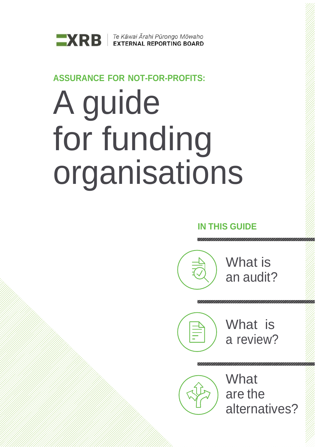

### **ASSURANCE FOR NOT-FOR-PROFITS:**

# A guide for funding organisations

## **IN THIS GUIDE**



## What is a review?

**What** are the alternatives?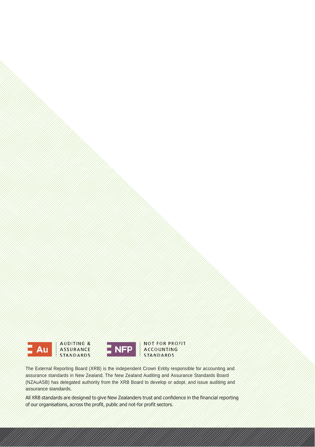



STANDARDS The External Reporting Board (XRB) is the independent Crown Entity responsible for accounting and

assurance standards in New Zealand. The New Zealand Auditing and Assurance Standards Board (NZAuASB) has delegated authority from the XRB Board to develop or adopt, and issue auditing and assurance standards.

All XRB standards are designed to give New Zealanders trust and confidence in the financial reporting of our organisations, across the profit, public and not-for profit sectors.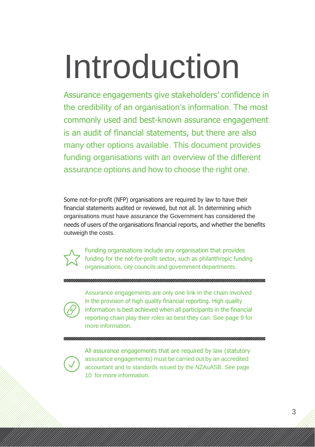# Introduction

Assurance engagements give stakeholders' confidence in the credibility of an organisation's information. The most commonly used and best-known assurance engagement is an audit of financial statements, but there are also many other options available. This document provides funding organisations with an overview of the different assurance options and how to choose the right one.

Some not-for-profit (NFP) organisations are required by law to have their financial statements audited or reviewed, but not all. In determining which organisations must have assurance the Government has considered the needs of users of the organisations financial reports, and whether the benefits outweigh the costs.



Funding organisations include any organisation that provides funding for the not-for-profit sector, such as philanthropic funding organisations, city councils and government departments.

#### 

Assurance engagements are only one link in the chain involved in the provision of high quality financial reporting. High quality information is best achieved when all participants in the financial reporting chain play their roles as best they can. See page 9 for more information.

All assurance engagements that are required by law (statutory assurance engagements) must be carried out by an accredited accountant and to standards issued by the NZAuASB. See page 10 for more information.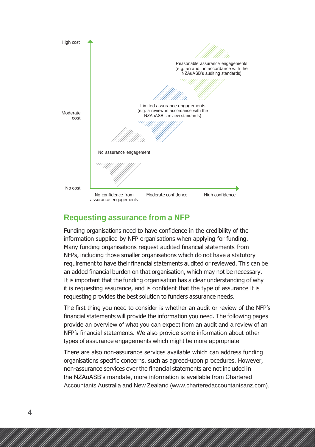

#### **Requesting assurance from a NFP**

Funding organisations need to have confidence in the credibility of the information supplied by NFP organisations when applying for funding. Many funding organisations request audited financial statements from NFPs, including those smaller organisations which do not have a statutory requirement to have their financial statements audited or reviewed. This can be an added financial burden on that organisation, which may not be necessary. It is important that the funding organisation has a clear understanding of why it is requesting assurance, and is confident that the type of assurance it is requesting provides the best solution to funders assurance needs.

The first thing you need to consider is whether an audit or review of the NFP's financial statements will provide the information you need. The following pages provide an overview of what you can expect from an audit and a review of an NFP's financial statements. We also provide some information about other types of assurance engagements which might be more appropriate.

There are also non-assurance services available which can address funding organisations specific concerns, such as agreed-upon procedures. However, non-assurance services over the financial statements are not included in the NZAuASB's mandate, more information is available from Chartered Accountants Australia and New Zealand (www.charteredaccountantsanz.com).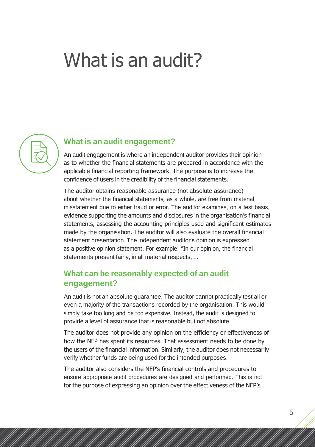## What is an audit?



#### **What is an audit engagement?**

An audit engagement is where an independent auditor provides their opinion as to whether the financial statements are prepared in accordance with the applicable financial reporting framework. The purpose is to increase the confidence of users in the credibility of the financial statements.

The auditor obtains reasonable assurance (not absolute assurance) about whether the financial statements, as a whole, are free from material misstatement due to either fraud or error. The auditor examines, on a test basis, evidence supporting the amounts and disclosures in the organisation's financial statements, assessing the accounting principles used and significant estimates made by the organisation. The auditor will also evaluate the overall financial statement presentation. The independent auditor's opinion is expressed as a positive opinion statement. For example: "In our opinion, the financial statements present fairly, in all material respects, ..."

#### **What can be reasonably expected of an audit engagement?**

An audit is not an absolute guarantee. The auditor cannot practically test all or even a majority of the transactions recorded by the organisation. This would simply take too long and be too expensive. Instead, the audit is designed to provide a level of assurance that is reasonable but not absolute.

The auditor does not provide any opinion on the efficiency or effectiveness of how the NFP has spent its resources. That assessment needs to be done by the users of the financial information. Similarly, the auditor does not necessarily verify whether funds are being used for the intended purposes.

The auditor also considers the NFP's financial controls and procedures to ensure appropriate audit procedures are designed and performed. This is not for the purpose of expressing an opinion over the effectiveness of the NFP's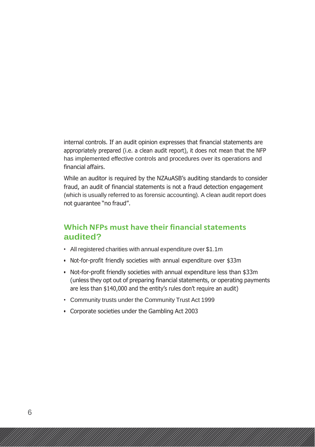internal controls. If an audit opinion expresses that financial statements are appropriately prepared (i.e. a clean audit report), it does not mean that the NFP has implemented effective controls and procedures over its operations and financial affairs.

While an auditor is required by the NZAuASB's auditing standards to consider fraud, an audit of financial statements is not a fraud detection engagement (which is usually referred to as forensic accounting). A clean audit report does not guarantee "no fraud".

#### **Which NFPs must have their financialstatements audited?**

- All registered charities with annual expenditure over \$1.1m
- Not-for-profit friendly societies with annual expenditure over \$33m
- Not-for-profit friendly societies with annual expenditure less than \$33m (unless they opt out of preparing financial statements, or operating payments are less than \$140,000 and the entity's rules don't require an audit)
- Community trusts under the Community Trust Act 1999
- Corporate societies under the Gambling Act 2003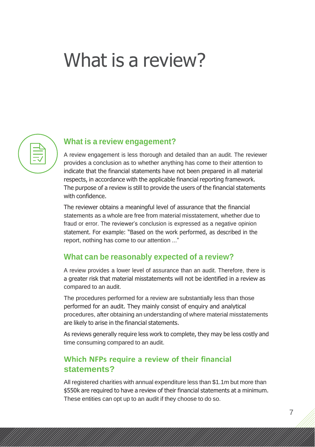## What is a review?



#### **What is a review engagement?**

A review engagement is less thorough and detailed than an audit. The reviewer provides a conclusion as to whether anything has come to their attention to indicate that the financial statements have not been prepared in all material respects, in accordance with the applicable financial reporting framework. The purpose of a review is still to provide the users of the financial statements with confidence.

The reviewer obtains a meaningful level of assurance that the financial statements as a whole are free from material misstatement, whether due to fraud or error. The reviewer's conclusion is expressed as a negative opinion statement. For example: "Based on the work performed, as described in the report, nothing has come to our attention ..."

#### **What can be reasonably expected of a review?**

A review provides a lower level of assurance than an audit. Therefore, there is a greater risk that material misstatements will not be identified in a review as compared to an audit.

The procedures performed for a review are substantially less than those performed for an audit. They mainly consist of enquiry and analytical procedures, after obtaining an understanding of where material misstatements are likely to arise in the financial statements.

As reviews generally require less work to complete, they may be less costly and time consuming compared to an audit.

#### **Which NFPs require a review of their financial statements?**

All registered charities with annual expenditure less than \$1.1m but more than \$550k are required to have a review of their financial statements at a minimum. These entities can opt up to an audit if they choose to do so.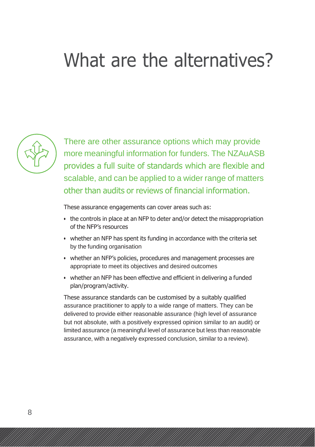## What are the alternatives?



There are other assurance options which may provide more meaningful information for funders. The NZAuASB provides a full suite of standards which are flexible and scalable, and can be applied to a wider range of matters other than audits or reviews of financial information.

These assurance engagements can cover areas such as:

- the controls in place at an NFP to deter and/or detect the misappropriation of the NFP's resources
- whether an NFP has spent its funding in accordance with the criteria set by the funding organisation
- whether an NFP's policies, procedures and management processes are appropriate to meet its objectives and desired outcomes
- whether an NFP has been effective and efficient in delivering a funded plan/program/activity.

These assurance standards can be customised by a suitably qualified assurance practitioner to apply to a wide range of matters. They can be delivered to provide either reasonable assurance (high level of assurance but not absolute, with a positively expressed opinion similar to an audit) or limited assurance (a meaningful level of assurance but less than reasonable assurance, with a negatively expressed conclusion, similar to a review).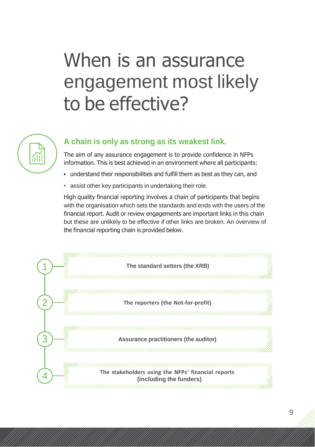# When is an assurance engagement most likely to be effective?



#### **A chain is only as strong as its weakest link.**

The aim of any assurance engagement is to provide confidence in NFPs information. This is best achieved in an environment where all participants:

- understand their responsibilities and fulfill them as best as they can, and
- assist other key participants in undertaking their role.

High quality financial reporting involves a chain of participants that begins with the organisation which sets the standards and ends with the users of the financial report. Audit or review engagements are important links in this chain but these are unlikely to be effective if other links are broken. An overview of the financial reporting chain is provided below.

|  | The standard setters (the XRB)                                                |
|--|-------------------------------------------------------------------------------|
|  |                                                                               |
|  |                                                                               |
|  | The reporters (the Not-for-profit)                                            |
|  |                                                                               |
|  |                                                                               |
|  | Assurance practitioners (the auditor)                                         |
|  |                                                                               |
|  |                                                                               |
|  | The stakeholders using the NFPs' financial reports<br>(including the funders) |
|  |                                                                               |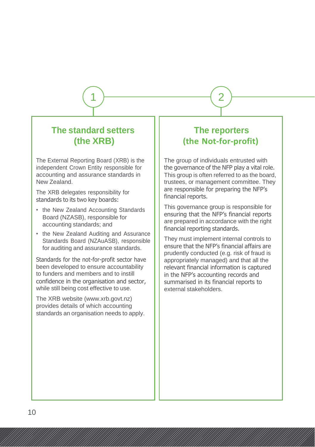#### **The standard setters (the XRB)**

The External Reporting Board (XRB) is the independent Crown Entity responsible for accounting and assurance standards in New Zealand.

The XRB delegates responsibility for standards to its two key boards:

- the New Zealand Accounting Standards Board (NZASB), responsible for accounting standards; and
- the New Zealand Auditing and Assurance Standards Board (NZAuASB), responsible for auditing and assurance standards.

Standards for the not-for-profit sector have been developed to ensure accountability to funders and members and to instill confidence in the organisation and sector, while still being cost effective to use.

The XRB website (www.xrb.govt.nz) provides details of which accounting standards an organisation needs to apply.

#### **The reporters (the Not-for-profit)**

 $\overline{1}$   $\overline{)$   $\overline{\phantom{0}}$   $\overline{)$   $\overline{\phantom{0}}$   $\overline{)$   $\overline{\phantom{0}}$   $\overline{)$   $\overline{\phantom{0}}$   $\overline{)$   $\overline{\phantom{0}}$   $\overline{)$   $\overline{\phantom{0}}$   $\overline{)$   $\overline{\phantom{0}}$   $\overline{)$   $\overline{\phantom{0}}$   $\overline{\phantom{0}}$   $\overline{)$   $\overline{\phantom{0}}$   $\overline{\phantom{0}}$   $\overline{\phantom{$ 

The group of individuals entrusted with the governance of the NFP play a vital role. This group is often referred to as the board, trustees, or management committee. They are responsible for preparing the NFP's financial reports.

This governance group is responsible for ensuring that the NFP's financial reports are prepared in accordance with the right financial reporting standards.

They must implement internal controls to ensure that the NFP's financial affairs are prudently conducted (e.g. risk of fraud is appropriately managed) and that all the relevant financial information is captured in the NFP's accounting records and summarised in its financial reports to external stakeholders.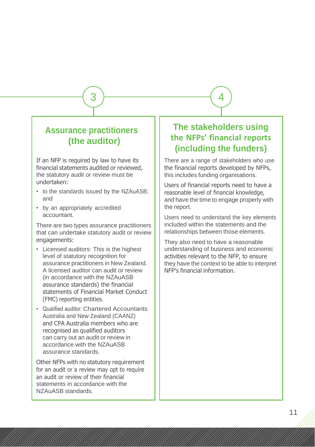#### **Assurance practitioners (the auditor)**

If an NFP is required by law to have its financial statements audited or reviewed, the statutory audit or review must be undertaken:

- to the standards issued by the NZAuASB; and
- by an appropriately accredited accountant.

There are two types assurance practitioners that can undertake statutory audit or review engagements:

- Licensed auditors: This is the highest level of statutory recognition for assurance practitioners in New Zealand. A licensed auditor can audit or review (in accordance with the NZAuASB assurance standards) the financial statements of Financial Market Conduct (FMC) reporting entities.
- Qualified auditor: Chartered Accountants Australia and New Zealand (CAANZ) and CPA Australia members who are recognised as qualified auditors can carry out an audit or review in accordance with the NZAuASB assurance standards.

Other NFPs with no statutory requirement for an audit or a review may opt to require an audit or review of their financial statements in accordance with the NZAuASB standards.

### **The stakeholders using the NFPs' financial reports (including the funders)**

 $\overline{3}$  )  $\overline{\phantom{25\sqrt{3}}$  (4

There are a range of stakeholders who use the financial reports developed by NFPs, this includes funding organisations.

Users of financial reports need to have a reasonable level of financial knowledge, and have the time to engage properly with the report.

Users need to understand the key elements included within the statements and the relationships between those elements.

They also need to have a reasonable understanding of business and economic activities relevant to the NFP, to ensure they have the context to be able to interpret NFP's financial information.